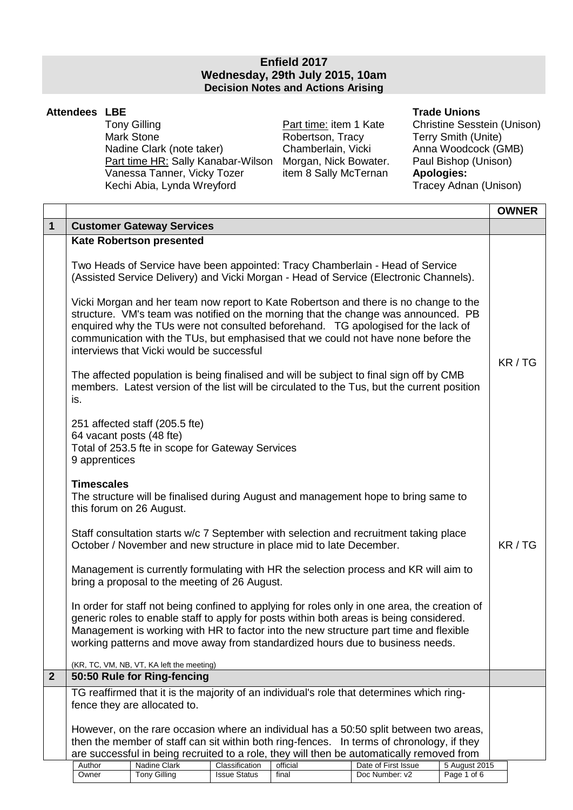## **Enfield 2017 Wednesday, 29th July 2015, 10am Decision Notes and Actions Arising**

## **Attendees LBE**

Tony Gilling Mark Stone Nadine Clark (note taker) Chamberlain, Vicki Anna Woodcock (GMB)<br>
Part time HR: Sally Kanabar-Wilson Morgan, Nick Bowater. Paul Bishop (Unison) Part time HR: Sally Kanabar-Wilson Vanessa Tanner, Vicky Tozer item 8 Sally McTernan **Apologies:**  Kechi Abia, Lynda Wreyford

Part time: item 1 Kate Robertson, Tracy

## **Trade Unions**

Christine Sesstein (Unison) Terry Smith (Unite)

|                |                                                                                                                                                                                                                                                                                                                                                                                                   |                                                                                    |                     |                                                                     |                                                                                                                                                                                                                                                                                                                                                                    |               | <b>OWNER</b> |
|----------------|---------------------------------------------------------------------------------------------------------------------------------------------------------------------------------------------------------------------------------------------------------------------------------------------------------------------------------------------------------------------------------------------------|------------------------------------------------------------------------------------|---------------------|---------------------------------------------------------------------|--------------------------------------------------------------------------------------------------------------------------------------------------------------------------------------------------------------------------------------------------------------------------------------------------------------------------------------------------------------------|---------------|--------------|
| $\mathbf{1}$   |                                                                                                                                                                                                                                                                                                                                                                                                   | <b>Customer Gateway Services</b>                                                   |                     |                                                                     |                                                                                                                                                                                                                                                                                                                                                                    |               |              |
|                |                                                                                                                                                                                                                                                                                                                                                                                                   | <b>Kate Robertson presented</b>                                                    |                     |                                                                     |                                                                                                                                                                                                                                                                                                                                                                    |               |              |
|                |                                                                                                                                                                                                                                                                                                                                                                                                   |                                                                                    |                     |                                                                     | Two Heads of Service have been appointed: Tracy Chamberlain - Head of Service<br>(Assisted Service Delivery) and Vicki Morgan - Head of Service (Electronic Channels).                                                                                                                                                                                             |               |              |
|                | Vicki Morgan and her team now report to Kate Robertson and there is no change to the<br>structure. VM's team was notified on the morning that the change was announced. PB<br>enquired why the TUs were not consulted beforehand. TG apologised for the lack of<br>communication with the TUs, but emphasised that we could not have none before the<br>interviews that Vicki would be successful |                                                                                    |                     |                                                                     |                                                                                                                                                                                                                                                                                                                                                                    |               |              |
|                | is.                                                                                                                                                                                                                                                                                                                                                                                               |                                                                                    |                     |                                                                     | The affected population is being finalised and will be subject to final sign off by CMB<br>members. Latest version of the list will be circulated to the Tus, but the current position                                                                                                                                                                             |               | KR / TG      |
|                | 64 vacant posts (48 fte)<br>9 apprentices                                                                                                                                                                                                                                                                                                                                                         | 251 affected staff (205.5 fte)<br>Total of 253.5 fte in scope for Gateway Services |                     |                                                                     |                                                                                                                                                                                                                                                                                                                                                                    |               |              |
|                | <b>Timescales</b><br>this forum on 26 August.                                                                                                                                                                                                                                                                                                                                                     |                                                                                    |                     |                                                                     | The structure will be finalised during August and management hope to bring same to                                                                                                                                                                                                                                                                                 |               |              |
|                |                                                                                                                                                                                                                                                                                                                                                                                                   |                                                                                    |                     | October / November and new structure in place mid to late December. | Staff consultation starts w/c 7 September with selection and recruitment taking place                                                                                                                                                                                                                                                                              |               | KR/TG        |
|                | Management is currently formulating with HR the selection process and KR will aim to<br>bring a proposal to the meeting of 26 August.                                                                                                                                                                                                                                                             |                                                                                    |                     |                                                                     |                                                                                                                                                                                                                                                                                                                                                                    |               |              |
|                |                                                                                                                                                                                                                                                                                                                                                                                                   |                                                                                    |                     |                                                                     | In order for staff not being confined to applying for roles only in one area, the creation of<br>generic roles to enable staff to apply for posts within both areas is being considered.<br>Management is working with HR to factor into the new structure part time and flexible<br>working patterns and move away from standardized hours due to business needs. |               |              |
|                |                                                                                                                                                                                                                                                                                                                                                                                                   | (KR, TC, VM, NB, VT, KA left the meeting)                                          |                     |                                                                     |                                                                                                                                                                                                                                                                                                                                                                    |               |              |
| $\overline{2}$ |                                                                                                                                                                                                                                                                                                                                                                                                   | 50:50 Rule for Ring-fencing                                                        |                     |                                                                     |                                                                                                                                                                                                                                                                                                                                                                    |               |              |
|                | TG reaffirmed that it is the majority of an individual's role that determines which ring-<br>fence they are allocated to.                                                                                                                                                                                                                                                                         |                                                                                    |                     |                                                                     |                                                                                                                                                                                                                                                                                                                                                                    |               |              |
|                |                                                                                                                                                                                                                                                                                                                                                                                                   |                                                                                    |                     |                                                                     | However, on the rare occasion where an individual has a 50:50 split between two areas,<br>then the member of staff can sit within both ring-fences. In terms of chronology, if they<br>are successful in being recruited to a role, they will then be automatically removed from                                                                                   |               |              |
|                | Author                                                                                                                                                                                                                                                                                                                                                                                            | Nadine Clark                                                                       | Classification      | official                                                            | Date of First Issue                                                                                                                                                                                                                                                                                                                                                | 5 August 2015 |              |
|                | Owner                                                                                                                                                                                                                                                                                                                                                                                             | <b>Tony Gilling</b>                                                                | <b>Issue Status</b> | final                                                               | Doc Number: v2                                                                                                                                                                                                                                                                                                                                                     | Page 1 of 6   |              |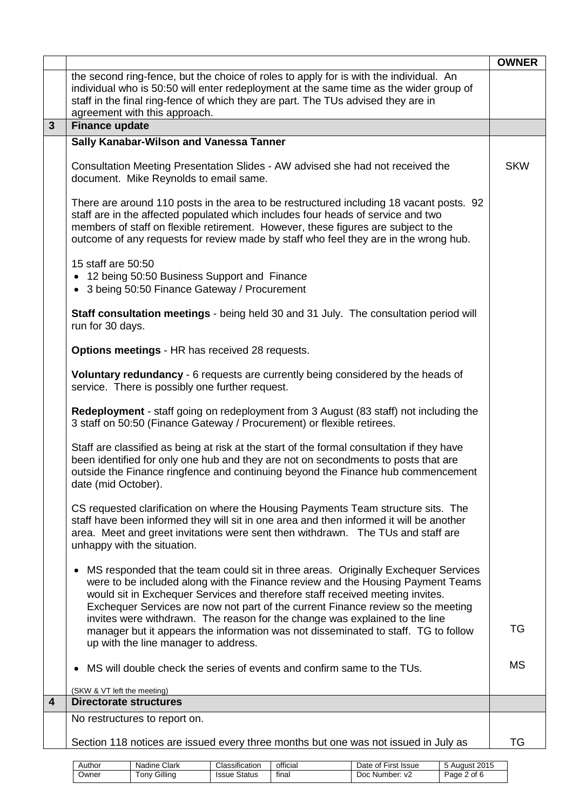|                         |                                                                                                                                                                                                                                                                                                                                                                                                                                                                                                                      | <b>OWNER</b> |
|-------------------------|----------------------------------------------------------------------------------------------------------------------------------------------------------------------------------------------------------------------------------------------------------------------------------------------------------------------------------------------------------------------------------------------------------------------------------------------------------------------------------------------------------------------|--------------|
|                         | the second ring-fence, but the choice of roles to apply for is with the individual. An<br>individual who is 50:50 will enter redeployment at the same time as the wider group of<br>staff in the final ring-fence of which they are part. The TUs advised they are in<br>agreement with this approach.                                                                                                                                                                                                               |              |
| $\mathbf{3}$            | <b>Finance update</b>                                                                                                                                                                                                                                                                                                                                                                                                                                                                                                |              |
|                         | Sally Kanabar-Wilson and Vanessa Tanner                                                                                                                                                                                                                                                                                                                                                                                                                                                                              |              |
|                         | Consultation Meeting Presentation Slides - AW advised she had not received the<br>document. Mike Reynolds to email same.                                                                                                                                                                                                                                                                                                                                                                                             | <b>SKW</b>   |
|                         | There are around 110 posts in the area to be restructured including 18 vacant posts. 92<br>staff are in the affected populated which includes four heads of service and two<br>members of staff on flexible retirement. However, these figures are subject to the<br>outcome of any requests for review made by staff who feel they are in the wrong hub.                                                                                                                                                            |              |
|                         | 15 staff are 50:50<br>• 12 being 50:50 Business Support and Finance<br>• 3 being 50:50 Finance Gateway / Procurement                                                                                                                                                                                                                                                                                                                                                                                                 |              |
|                         | <b>Staff consultation meetings</b> - being held 30 and 31 July. The consultation period will<br>run for 30 days.                                                                                                                                                                                                                                                                                                                                                                                                     |              |
|                         | <b>Options meetings - HR has received 28 requests.</b>                                                                                                                                                                                                                                                                                                                                                                                                                                                               |              |
|                         | Voluntary redundancy - 6 requests are currently being considered by the heads of<br>service. There is possibly one further request.                                                                                                                                                                                                                                                                                                                                                                                  |              |
|                         | <b>Redeployment</b> - staff going on redeployment from 3 August (83 staff) not including the<br>3 staff on 50:50 (Finance Gateway / Procurement) or flexible retirees.                                                                                                                                                                                                                                                                                                                                               |              |
|                         | Staff are classified as being at risk at the start of the formal consultation if they have<br>been identified for only one hub and they are not on secondments to posts that are<br>outside the Finance ringfence and continuing beyond the Finance hub commencement<br>date (mid October).                                                                                                                                                                                                                          |              |
|                         | CS requested clarification on where the Housing Payments Team structure sits. The<br>staff have been informed they will sit in one area and then informed it will be another<br>area. Meet and greet invitations were sent then withdrawn. The TUs and staff are<br>unhappy with the situation.                                                                                                                                                                                                                      |              |
|                         | MS responded that the team could sit in three areas. Originally Exchequer Services<br>٠<br>were to be included along with the Finance review and the Housing Payment Teams<br>would sit in Exchequer Services and therefore staff received meeting invites.<br>Exchequer Services are now not part of the current Finance review so the meeting<br>invites were withdrawn. The reason for the change was explained to the line<br>manager but it appears the information was not disseminated to staff. TG to follow | TG           |
|                         | up with the line manager to address.                                                                                                                                                                                                                                                                                                                                                                                                                                                                                 |              |
|                         | MS will double check the series of events and confirm same to the TUs.                                                                                                                                                                                                                                                                                                                                                                                                                                               | <b>MS</b>    |
| $\overline{\mathbf{4}}$ | (SKW & VT left the meeting)<br><b>Directorate structures</b>                                                                                                                                                                                                                                                                                                                                                                                                                                                         |              |
|                         | No restructures to report on.                                                                                                                                                                                                                                                                                                                                                                                                                                                                                        |              |
|                         | Section 118 notices are issued every three months but one was not issued in July as                                                                                                                                                                                                                                                                                                                                                                                                                                  | TG           |
|                         |                                                                                                                                                                                                                                                                                                                                                                                                                                                                                                                      |              |

| Author | Clark<br>Nadine | Classification | <br>official | $-$<br>First<br>Date<br>Issue<br>. ot ' | 2015<br>August |
|--------|-----------------|----------------|--------------|-----------------------------------------|----------------|
| Owner  | Gilling         | Status         | $\cdot$      | Number: v2                              | of 6           |
|        | l onv           | Issue          | final        | Doc                                     | Page           |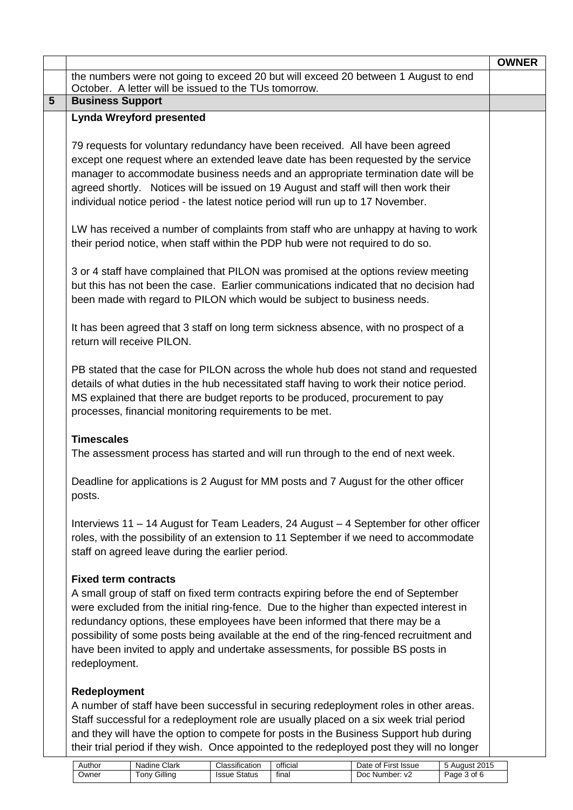|                 |                                                                                                                                                                                                                                                                                                                                                                                                                                                                                          | <b>OWNER</b> |
|-----------------|------------------------------------------------------------------------------------------------------------------------------------------------------------------------------------------------------------------------------------------------------------------------------------------------------------------------------------------------------------------------------------------------------------------------------------------------------------------------------------------|--------------|
|                 | the numbers were not going to exceed 20 but will exceed 20 between 1 August to end<br>October. A letter will be issued to the TUs tomorrow.                                                                                                                                                                                                                                                                                                                                              |              |
| $5\overline{)}$ | <b>Business Support</b>                                                                                                                                                                                                                                                                                                                                                                                                                                                                  |              |
|                 | <b>Lynda Wreyford presented</b>                                                                                                                                                                                                                                                                                                                                                                                                                                                          |              |
|                 | 79 requests for voluntary redundancy have been received. All have been agreed<br>except one request where an extended leave date has been requested by the service<br>manager to accommodate business needs and an appropriate termination date will be<br>agreed shortly. Notices will be issued on 19 August and staff will then work their<br>individual notice period - the latest notice period will run up to 17 November.                                                         |              |
|                 | LW has received a number of complaints from staff who are unhappy at having to work<br>their period notice, when staff within the PDP hub were not required to do so.                                                                                                                                                                                                                                                                                                                    |              |
|                 | 3 or 4 staff have complained that PILON was promised at the options review meeting<br>but this has not been the case. Earlier communications indicated that no decision had<br>been made with regard to PILON which would be subject to business needs.                                                                                                                                                                                                                                  |              |
|                 | It has been agreed that 3 staff on long term sickness absence, with no prospect of a<br>return will receive PILON.                                                                                                                                                                                                                                                                                                                                                                       |              |
|                 | PB stated that the case for PILON across the whole hub does not stand and requested<br>details of what duties in the hub necessitated staff having to work their notice period.<br>MS explained that there are budget reports to be produced, procurement to pay<br>processes, financial monitoring requirements to be met.                                                                                                                                                              |              |
|                 | <b>Timescales</b><br>The assessment process has started and will run through to the end of next week.                                                                                                                                                                                                                                                                                                                                                                                    |              |
|                 | Deadline for applications is 2 August for MM posts and 7 August for the other officer<br>posts.                                                                                                                                                                                                                                                                                                                                                                                          |              |
|                 | Interviews 11 - 14 August for Team Leaders, 24 August - 4 September for other officer<br>roles, with the possibility of an extension to 11 September if we need to accommodate<br>staff on agreed leave during the earlier period.                                                                                                                                                                                                                                                       |              |
|                 | <b>Fixed term contracts</b><br>A small group of staff on fixed term contracts expiring before the end of September<br>were excluded from the initial ring-fence. Due to the higher than expected interest in<br>redundancy options, these employees have been informed that there may be a<br>possibility of some posts being available at the end of the ring-fenced recruitment and<br>have been invited to apply and undertake assessments, for possible BS posts in<br>redeployment. |              |
|                 | Redeployment<br>A number of staff have been successful in securing redeployment roles in other areas.<br>Staff successful for a redeployment role are usually placed on a six week trial period<br>and they will have the option to compete for posts in the Business Support hub during                                                                                                                                                                                                 |              |

| their trial period if they wish. Once appointed to the redeployed post they will no longer |        |                     |                     |          |                     |               |
|--------------------------------------------------------------------------------------------|--------|---------------------|---------------------|----------|---------------------|---------------|
|                                                                                            | Author | Nadine Clark        | Classification      | official | Date of First Issue | 5 August 2015 |
|                                                                                            | Owner  | <b>Tony Gilling</b> | <b>Issue Status</b> | final    | Doc Number: v2      | Page 3 of 6   |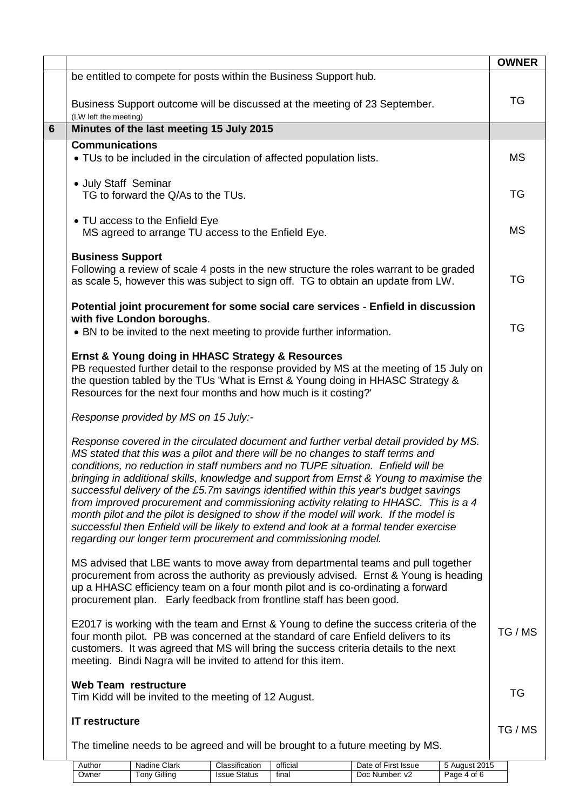|                |                                                                                      |                                                                                      |                                       |                                                                        |                                                                                                                                                                                                                                                                                                                                                                                                                                                                                                                                                                                                                                                                                                                           |                              | <b>OWNER</b> |
|----------------|--------------------------------------------------------------------------------------|--------------------------------------------------------------------------------------|---------------------------------------|------------------------------------------------------------------------|---------------------------------------------------------------------------------------------------------------------------------------------------------------------------------------------------------------------------------------------------------------------------------------------------------------------------------------------------------------------------------------------------------------------------------------------------------------------------------------------------------------------------------------------------------------------------------------------------------------------------------------------------------------------------------------------------------------------------|------------------------------|--------------|
|                |                                                                                      |                                                                                      |                                       | be entitled to compete for posts within the Business Support hub.      |                                                                                                                                                                                                                                                                                                                                                                                                                                                                                                                                                                                                                                                                                                                           |                              |              |
|                | (LW left the meeting)                                                                |                                                                                      |                                       |                                                                        | Business Support outcome will be discussed at the meeting of 23 September.                                                                                                                                                                                                                                                                                                                                                                                                                                                                                                                                                                                                                                                |                              | <b>TG</b>    |
| $6\phantom{1}$ |                                                                                      | Minutes of the last meeting 15 July 2015                                             |                                       |                                                                        |                                                                                                                                                                                                                                                                                                                                                                                                                                                                                                                                                                                                                                                                                                                           |                              |              |
|                | <b>Communications</b>                                                                |                                                                                      |                                       | • TUs to be included in the circulation of affected population lists.  |                                                                                                                                                                                                                                                                                                                                                                                                                                                                                                                                                                                                                                                                                                                           |                              | <b>MS</b>    |
|                | • July Staff Seminar                                                                 | TG to forward the Q/As to the TUs.                                                   |                                       |                                                                        |                                                                                                                                                                                                                                                                                                                                                                                                                                                                                                                                                                                                                                                                                                                           |                              | <b>TG</b>    |
|                |                                                                                      | • TU access to the Enfield Eye<br>MS agreed to arrange TU access to the Enfield Eye. |                                       |                                                                        |                                                                                                                                                                                                                                                                                                                                                                                                                                                                                                                                                                                                                                                                                                                           |                              | <b>MS</b>    |
|                | <b>Business Support</b>                                                              |                                                                                      |                                       |                                                                        | Following a review of scale 4 posts in the new structure the roles warrant to be graded<br>as scale 5, however this was subject to sign off. TG to obtain an update from LW.                                                                                                                                                                                                                                                                                                                                                                                                                                                                                                                                              |                              | TG           |
|                |                                                                                      | with five London boroughs.                                                           |                                       | • BN to be invited to the next meeting to provide further information. | Potential joint procurement for some social care services - Enfield in discussion                                                                                                                                                                                                                                                                                                                                                                                                                                                                                                                                                                                                                                         |                              | TG           |
|                |                                                                                      | Ernst & Young doing in HHASC Strategy & Resources                                    |                                       | Resources for the next four months and how much is it costing?'        | PB requested further detail to the response provided by MS at the meeting of 15 July on<br>the question tabled by the TUs 'What is Ernst & Young doing in HHASC Strategy &                                                                                                                                                                                                                                                                                                                                                                                                                                                                                                                                                |                              |              |
|                |                                                                                      | Response provided by MS on 15 July:-                                                 |                                       |                                                                        |                                                                                                                                                                                                                                                                                                                                                                                                                                                                                                                                                                                                                                                                                                                           |                              |              |
|                |                                                                                      |                                                                                      |                                       | regarding our longer term procurement and commissioning model.         | Response covered in the circulated document and further verbal detail provided by MS.<br>MS stated that this was a pilot and there will be no changes to staff terms and<br>conditions, no reduction in staff numbers and no TUPE situation. Enfield will be<br>bringing in additional skills, knowledge and support from Ernst & Young to maximise the<br>successful delivery of the £5.7m savings identified within this year's budget savings<br>from improved procurement and commissioning activity relating to HHASC. This is a 4<br>month pilot and the pilot is designed to show if the model will work. If the model is<br>successful then Enfield will be likely to extend and look at a formal tender exercise |                              |              |
|                |                                                                                      |                                                                                      |                                       | procurement plan. Early feedback from frontline staff has been good.   | MS advised that LBE wants to move away from departmental teams and pull together<br>procurement from across the authority as previously advised. Ernst & Young is heading<br>up a HHASC efficiency team on a four month pilot and is co-ordinating a forward                                                                                                                                                                                                                                                                                                                                                                                                                                                              |                              |              |
|                |                                                                                      | meeting. Bindi Nagra will be invited to attend for this item.                        |                                       |                                                                        | E2017 is working with the team and Ernst & Young to define the success criteria of the<br>four month pilot. PB was concerned at the standard of care Enfield delivers to its<br>customers. It was agreed that MS will bring the success criteria details to the next                                                                                                                                                                                                                                                                                                                                                                                                                                                      |                              | TG / MS      |
|                | <b>Web Team restructure</b><br>Tim Kidd will be invited to the meeting of 12 August. |                                                                                      |                                       |                                                                        |                                                                                                                                                                                                                                                                                                                                                                                                                                                                                                                                                                                                                                                                                                                           |                              | TG           |
|                | <b>IT restructure</b>                                                                |                                                                                      |                                       |                                                                        |                                                                                                                                                                                                                                                                                                                                                                                                                                                                                                                                                                                                                                                                                                                           |                              | TG / MS      |
|                |                                                                                      |                                                                                      |                                       |                                                                        | The timeline needs to be agreed and will be brought to a future meeting by MS.                                                                                                                                                                                                                                                                                                                                                                                                                                                                                                                                                                                                                                            |                              |              |
|                | Author<br>Owner                                                                      | Nadine Clark<br><b>Tony Gilling</b>                                                  | Classification<br><b>Issue Status</b> | official<br>final                                                      | Date of First Issue<br>Doc Number: v2                                                                                                                                                                                                                                                                                                                                                                                                                                                                                                                                                                                                                                                                                     | 5 August 2015<br>Page 4 of 6 |              |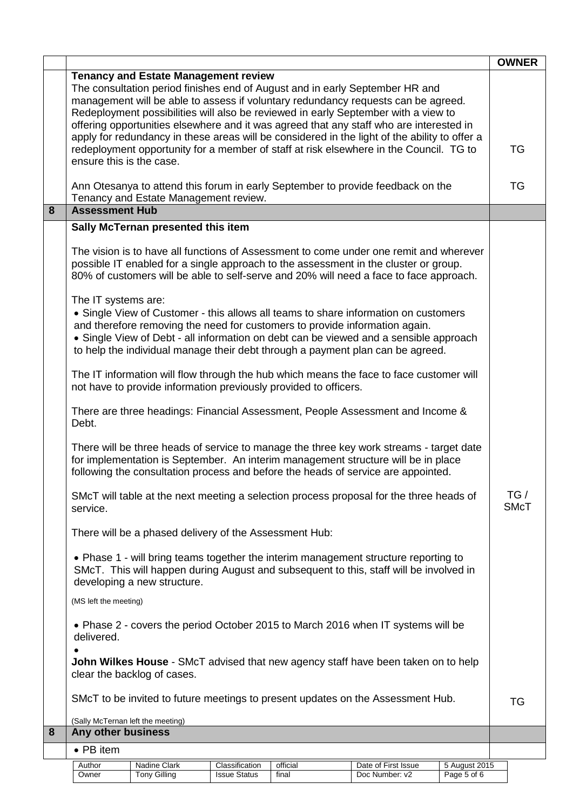|   |                                                                                                                  |                                                        |                                       |                                                                             |                                                                                                                                                                                                                                                                                                                                                    |                              | <b>OWNER</b>       |
|---|------------------------------------------------------------------------------------------------------------------|--------------------------------------------------------|---------------------------------------|-----------------------------------------------------------------------------|----------------------------------------------------------------------------------------------------------------------------------------------------------------------------------------------------------------------------------------------------------------------------------------------------------------------------------------------------|------------------------------|--------------------|
|   |                                                                                                                  | <b>Tenancy and Estate Management review</b>            |                                       |                                                                             | The consultation period finishes end of August and in early September HR and<br>management will be able to assess if voluntary redundancy requests can be agreed.<br>Redeployment possibilities will also be reviewed in early September with a view to<br>offering opportunities elsewhere and it was agreed that any staff who are interested in |                              |                    |
|   | ensure this is the case.                                                                                         |                                                        |                                       |                                                                             | apply for redundancy in these areas will be considered in the light of the ability to offer a<br>redeployment opportunity for a member of staff at risk elsewhere in the Council. TG to                                                                                                                                                            |                              | TG                 |
|   |                                                                                                                  | Tenancy and Estate Management review.                  |                                       |                                                                             | Ann Otesanya to attend this forum in early September to provide feedback on the                                                                                                                                                                                                                                                                    |                              | TG                 |
| 8 | <b>Assessment Hub</b>                                                                                            |                                                        |                                       |                                                                             |                                                                                                                                                                                                                                                                                                                                                    |                              |                    |
|   |                                                                                                                  | Sally McTernan presented this item                     |                                       |                                                                             |                                                                                                                                                                                                                                                                                                                                                    |                              |                    |
|   |                                                                                                                  |                                                        |                                       |                                                                             | The vision is to have all functions of Assessment to come under one remit and wherever<br>possible IT enabled for a single approach to the assessment in the cluster or group.<br>80% of customers will be able to self-serve and 20% will need a face to face approach.                                                                           |                              |                    |
|   | The IT systems are:                                                                                              |                                                        |                                       | and therefore removing the need for customers to provide information again. | • Single View of Customer - this allows all teams to share information on customers<br>• Single View of Debt - all information on debt can be viewed and a sensible approach<br>to help the individual manage their debt through a payment plan can be agreed.                                                                                     |                              |                    |
|   |                                                                                                                  |                                                        |                                       | not have to provide information previously provided to officers.            | The IT information will flow through the hub which means the face to face customer will                                                                                                                                                                                                                                                            |                              |                    |
|   | There are three headings: Financial Assessment, People Assessment and Income &<br>Debt.                          |                                                        |                                       |                                                                             |                                                                                                                                                                                                                                                                                                                                                    |                              |                    |
|   |                                                                                                                  |                                                        |                                       |                                                                             | There will be three heads of service to manage the three key work streams - target date<br>for implementation is September. An interim management structure will be in place<br>following the consultation process and before the heads of service are appointed.                                                                                  |                              |                    |
|   | service.                                                                                                         |                                                        |                                       |                                                                             | SMcT will table at the next meeting a selection process proposal for the three heads of                                                                                                                                                                                                                                                            |                              | TG/<br><b>SMcT</b> |
|   |                                                                                                                  | There will be a phased delivery of the Assessment Hub: |                                       |                                                                             |                                                                                                                                                                                                                                                                                                                                                    |                              |                    |
|   |                                                                                                                  | developing a new structure.                            |                                       |                                                                             | • Phase 1 - will bring teams together the interim management structure reporting to<br>SMcT. This will happen during August and subsequent to this, staff will be involved in                                                                                                                                                                      |                              |                    |
|   | (MS left the meeting)                                                                                            |                                                        |                                       |                                                                             |                                                                                                                                                                                                                                                                                                                                                    |                              |                    |
|   | • Phase 2 - covers the period October 2015 to March 2016 when IT systems will be<br>delivered.                   |                                                        |                                       |                                                                             |                                                                                                                                                                                                                                                                                                                                                    |                              |                    |
|   | John Wilkes House - SMcT advised that new agency staff have been taken on to help<br>clear the backlog of cases. |                                                        |                                       |                                                                             |                                                                                                                                                                                                                                                                                                                                                    |                              |                    |
|   | SMcT to be invited to future meetings to present updates on the Assessment Hub.                                  |                                                        |                                       |                                                                             |                                                                                                                                                                                                                                                                                                                                                    | TG                           |                    |
| 8 | (Sally McTernan left the meeting)<br>Any other business                                                          |                                                        |                                       |                                                                             |                                                                                                                                                                                                                                                                                                                                                    |                              |                    |
|   | $\bullet$ PB item                                                                                                |                                                        |                                       |                                                                             |                                                                                                                                                                                                                                                                                                                                                    |                              |                    |
|   | Author<br>Owner                                                                                                  | Nadine Clark<br><b>Tony Gilling</b>                    | Classification<br><b>Issue Status</b> | official<br>final                                                           | Date of First Issue<br>Doc Number: v2                                                                                                                                                                                                                                                                                                              | 5 August 2015<br>Page 5 of 6 |                    |